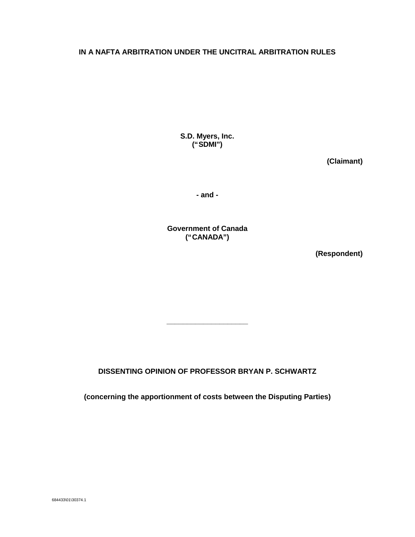## **IN A NAFTA ARBITRATION UNDER THE UNCITRAL ARBITRATION RULES**

**S.D. Myers, Inc. ("SDMI")**

**(Claimant)**

**- and -**

**Government of Canada ("CANADA")**

**(Respondent)**

**DISSENTING OPINION OF PROFESSOR BRYAN P. SCHWARTZ**

**\_\_\_\_\_\_\_\_\_\_\_\_\_\_\_\_\_\_\_\_**

**(concerning the apportionment of costs between the Disputing Parties)**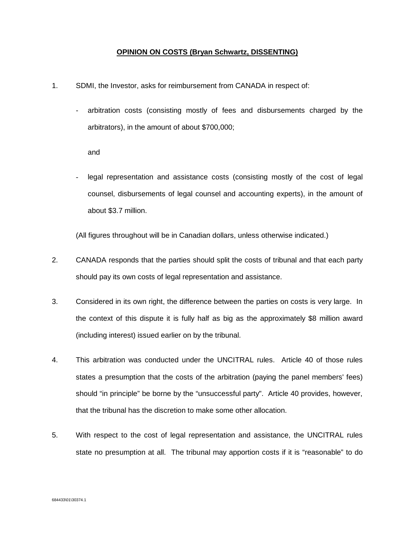## **OPINION ON COSTS (Bryan Schwartz, DISSENTING)**

- 1. SDMI, the Investor, asks for reimbursement from CANADA in respect of:
	- arbitration costs (consisting mostly of fees and disbursements charged by the arbitrators), in the amount of about \$700,000;

and

legal representation and assistance costs (consisting mostly of the cost of legal counsel, disbursements of legal counsel and accounting experts), in the amount of about \$3.7 million.

(All figures throughout will be in Canadian dollars, unless otherwise indicated.)

- 2. CANADA responds that the parties should split the costs of tribunal and that each party should pay its own costs of legal representation and assistance.
- 3. Considered in its own right, the difference between the parties on costs is very large. In the context of this dispute it is fully half as big as the approximately \$8 million award (including interest) issued earlier on by the tribunal.
- 4. This arbitration was conducted under the UNCITRAL rules. Article 40 of those rules states a presumption that the costs of the arbitration (paying the panel members' fees) should "in principle" be borne by the "unsuccessful party". Article 40 provides, however, that the tribunal has the discretion to make some other allocation.
- 5. With respect to the cost of legal representation and assistance, the UNCITRAL rules state no presumption at all. The tribunal may apportion costs if it is "reasonable" to do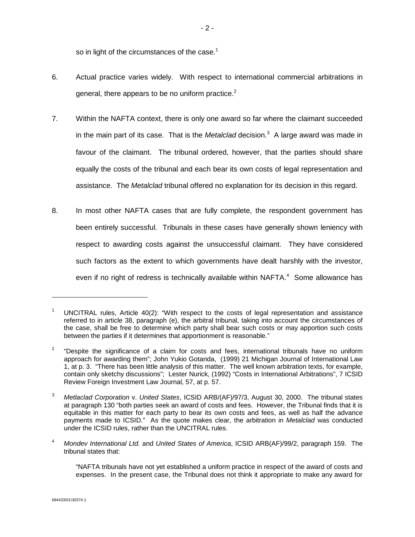so in light of the circumstances of the case. $1$ 

- 6. Actual practice varies widely. With respect to international commercial arbitrations in general, there appears to be no uniform practice. $2^2$
- 7. Within the NAFTA context, there is only one award so far where the claimant succeeded in the main part of its case. That is the *Metalclad* decision.<sup>3</sup> A large award was made in favour of the claimant. The tribunal ordered, however, that the parties should share equally the costs of the tribunal and each bear its own costs of legal representation and assistance. The *Metalclad* tribunal offered no explanation for its decision in this regard.
- 8. In most other NAFTA cases that are fully complete, the respondent government has been entirely successful. Tribunals in these cases have generally shown leniency with respect to awarding costs against the unsuccessful claimant. They have considered such factors as the extent to which governments have dealt harshly with the investor, even if no right of redress is technically available within NAFTA. $4$  Some allowance has

<sup>&</sup>lt;sup>1</sup> UNCITRAL rules, Article 40(2): "With respect to the costs of legal representation and assistance referred to in article 38, paragraph (e), the arbitral tribunal, taking into account the circumstances of the case, shall be free to determine which party shall bear such costs or may apportion such costs between the parties if it determines that apportionment is reasonable."

<sup>2</sup> "Despite the significance of a claim for costs and fees, international tribunals have no uniform approach for awarding them"; John Yukio Gotanda, (1999) 21 Michigan Journal of International Law 1, at p. 3. "There has been little analysis of this matter. The well known arbitration texts, for example, contain only sketchy discussions"; Lester Nurick, (1992) "Costs in International Arbitrations", 7 ICSID Review Foreign Investment Law Journal, 57, at p. 57.

<sup>3</sup> *Metlaclad Corporation* v. *United States*, ICSID ARB/(AF)/97/3, August 30, 2000. The tribunal states at paragraph 130 "both parties seek an award of costs and fees. However, the Tribunal finds that it is equitable in this matter for each party to bear its own costs and fees, as well as half the advance payments made to ICSID." As the quote makes clear, the arbitration in *Metalclad* was conducted under the ICSID rules, rather than the UNCITRAL rules.

<sup>4</sup> *Mondev International Ltd.* and *United States of America*, ICSID ARB(AF)/99/2, paragraph 159. The tribunal states that:

<sup>&</sup>quot;NAFTA tribunals have not yet established a uniform practice in respect of the award of costs and expenses. In the present case, the Tribunal does not think it appropriate to make any award for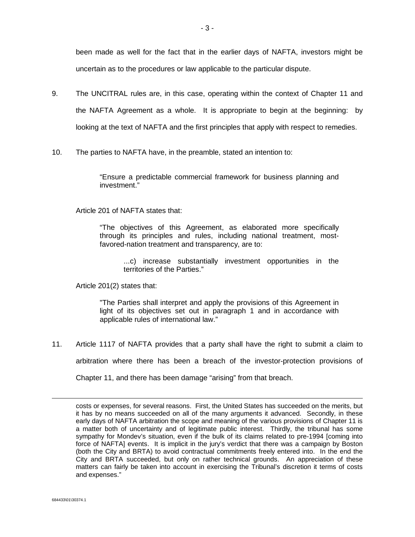been made as well for the fact that in the earlier days of NAFTA, investors might be uncertain as to the procedures or law applicable to the particular dispute.

- 9. The UNCITRAL rules are, in this case, operating within the context of Chapter 11 and the NAFTA Agreement as a whole. It is appropriate to begin at the beginning: by looking at the text of NAFTA and the first principles that apply with respect to remedies.
- 10. The parties to NAFTA have, in the preamble, stated an intention to:

"Ensure a predictable commercial framework for business planning and investment."

## Article 201 of NAFTA states that:

"The objectives of this Agreement, as elaborated more specifically through its principles and rules, including national treatment, mostfavored-nation treatment and transparency, are to:

...c) increase substantially investment opportunities in the territories of the Parties."

Article 201(2) states that:

"The Parties shall interpret and apply the provisions of this Agreement in light of its objectives set out in paragraph 1 and in accordance with applicable rules of international law."

11. Article 1117 of NAFTA provides that a party shall have the right to submit a claim to

arbitration where there has been a breach of the investor-protection provisions of

Chapter 11, and there has been damage "arising" from that breach.

costs or expenses, for several reasons. First, the United States has succeeded on the merits, but it has by no means succeeded on all of the many arguments it advanced. Secondly, in these early days of NAFTA arbitration the scope and meaning of the various provisions of Chapter 11 is a matter both of uncertainty and of legitimate public interest. Thirdly, the tribunal has some sympathy for Mondev's situation, even if the bulk of its claims related to pre-1994 [coming into force of NAFTA] events. It is implicit in the jury's verdict that there was a campaign by Boston (both the City and BRTA) to avoid contractual commitments freely entered into. In the end the City and BRTA succeeded, but only on rather technical grounds. An appreciation of these matters can fairly be taken into account in exercising the Tribunal's discretion it terms of costs and expenses."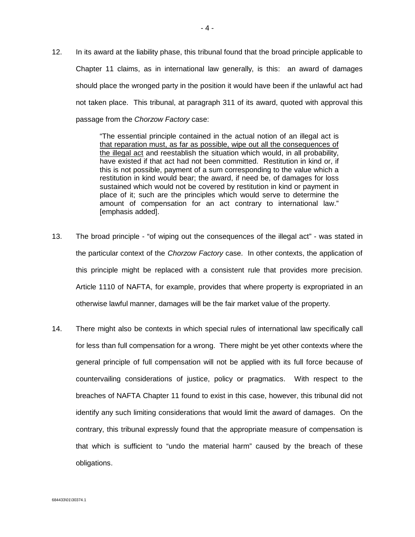12. In its award at the liability phase, this tribunal found that the broad principle applicable to Chapter 11 claims, as in international law generally, is this: an award of damages should place the wronged party in the position it would have been if the unlawful act had not taken place. This tribunal, at paragraph 311 of its award, quoted with approval this passage from the *Chorzow Factory* case:

> "The essential principle contained in the actual notion of an illegal act is that reparation must, as far as possible, wipe out all the consequences of the illegal act and reestablish the situation which would, in all probability, have existed if that act had not been committed. Restitution in kind or, if this is not possible, payment of a sum corresponding to the value which a restitution in kind would bear; the award, if need be, of damages for loss sustained which would not be covered by restitution in kind or payment in place of it; such are the principles which would serve to determine the amount of compensation for an act contrary to international law." [emphasis added].

- 13. The broad principle "of wiping out the consequences of the illegal act" was stated in the particular context of the *Chorzow Factory* case. In other contexts, the application of this principle might be replaced with a consistent rule that provides more precision. Article 1110 of NAFTA, for example, provides that where property is expropriated in an otherwise lawful manner, damages will be the fair market value of the property.
- 14. There might also be contexts in which special rules of international law specifically call for less than full compensation for a wrong. There might be yet other contexts where the general principle of full compensation will not be applied with its full force because of countervailing considerations of justice, policy or pragmatics. With respect to the breaches of NAFTA Chapter 11 found to exist in this case, however, this tribunal did not identify any such limiting considerations that would limit the award of damages. On the contrary, this tribunal expressly found that the appropriate measure of compensation is that which is sufficient to "undo the material harm" caused by the breach of these obligations.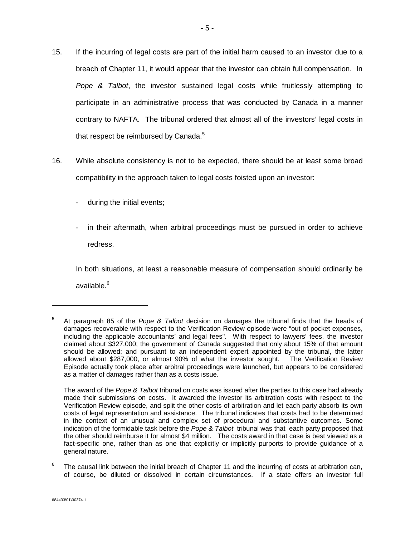- 15. If the incurring of legal costs are part of the initial harm caused to an investor due to a breach of Chapter 11, it would appear that the investor can obtain full compensation. In *Pope & Talbot*, the investor sustained legal costs while fruitlessly attempting to participate in an administrative process that was conducted by Canada in a manner contrary to NAFTA. The tribunal ordered that almost all of the investors' legal costs in that respect be reimbursed by Canada. $5$
- 16. While absolute consistency is not to be expected, there should be at least some broad compatibility in the approach taken to legal costs foisted upon an investor:
	- during the initial events;
	- in their aftermath, when arbitral proceedings must be pursued in order to achieve redress.

In both situations, at least a reasonable measure of compensation should ordinarily be available.<sup>6</sup>

<sup>5</sup> At paragraph 85 of the *Pope & Talbot* decision on damages the tribunal finds that the heads of damages recoverable with respect to the Verification Review episode were "out of pocket expenses, including the applicable accountants' and legal fees". With respect to lawyers' fees, the investor claimed about \$327,000; the government of Canada suggested that only about 15% of that amount should be allowed; and pursuant to an independent expert appointed by the tribunal, the latter allowed about \$287,000, or almost 90% of what the investor sought. The Verification Review Episode actually took place after arbitral proceedings were launched, but appears to be considered as a matter of damages rather than as a costs issue.

The award of the *Pope & Talbot* tribunal on costs was issued after the parties to this case had already made their submissions on costs. It awarded the investor its arbitration costs with respect to the Verification Review episode, and split the other costs of arbitration and let each party absorb its own costs of legal representation and assistance. The tribunal indicates that costs had to be determined in the context of an unusual and complex set of procedural and substantive outcomes. Some indication of the formidable task before the *Pope & Talbot* tribunal was that each party proposed that the other should reimburse it for almost \$4 million. The costs award in that case is best viewed as a fact-specific one, rather than as one that explicitly or implicitly purports to provide guidance of a general nature.

<sup>6</sup> The causal link between the initial breach of Chapter 11 and the incurring of costs at arbitration can, of course, be diluted or dissolved in certain circumstances. If a state offers an investor full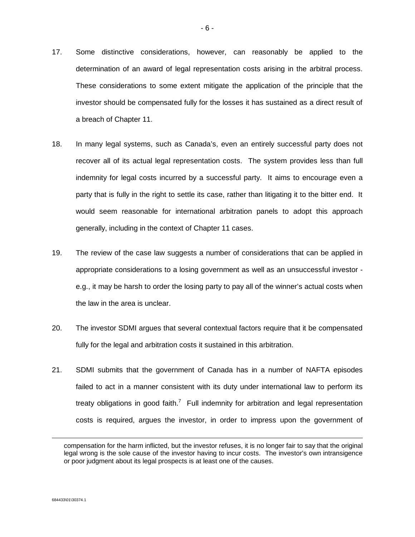- 17. Some distinctive considerations, however, can reasonably be applied to the determination of an award of legal representation costs arising in the arbitral process. These considerations to some extent mitigate the application of the principle that the investor should be compensated fully for the losses it has sustained as a direct result of a breach of Chapter 11.
- 18. In many legal systems, such as Canada's, even an entirely successful party does not recover all of its actual legal representation costs. The system provides less than full indemnity for legal costs incurred by a successful party. It aims to encourage even a party that is fully in the right to settle its case, rather than litigating it to the bitter end. It would seem reasonable for international arbitration panels to adopt this approach generally, including in the context of Chapter 11 cases.
- 19. The review of the case law suggests a number of considerations that can be applied in appropriate considerations to a losing government as well as an unsuccessful investor e.g., it may be harsh to order the losing party to pay all of the winner's actual costs when the law in the area is unclear.
- 20. The investor SDMI argues that several contextual factors require that it be compensated fully for the legal and arbitration costs it sustained in this arbitration.
- 21. SDMI submits that the government of Canada has in a number of NAFTA episodes failed to act in a manner consistent with its duty under international law to perform its treaty obligations in good faith.<sup>7</sup> Full indemnity for arbitration and legal representation costs is required, argues the investor, in order to impress upon the government of

compensation for the harm inflicted, but the investor refuses, it is no longer fair to say that the original legal wrong is the sole cause of the investor having to incur costs. The investor's own intransigence or poor judgment about its legal prospects is at least one of the causes.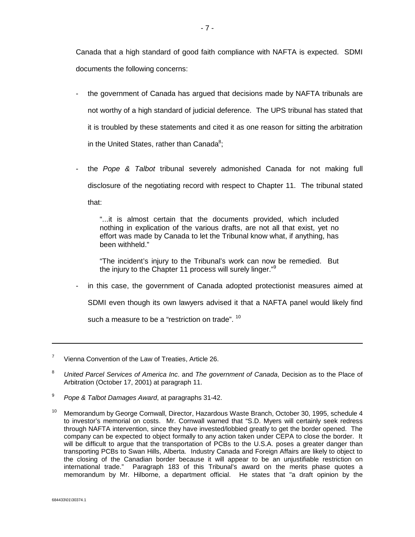Canada that a high standard of good faith compliance with NAFTA is expected. SDMI documents the following concerns:

- the government of Canada has argued that decisions made by NAFTA tribunals are not worthy of a high standard of judicial deference. The UPS tribunal has stated that it is troubled by these statements and cited it as one reason for sitting the arbitration in the United States, rather than Canada $8$ ;
- the *Pope & Talbot* tribunal severely admonished Canada for not making full disclosure of the negotiating record with respect to Chapter 11. The tribunal stated that:

"...it is almost certain that the documents provided, which included nothing in explication of the various drafts, are not all that exist, yet no effort was made by Canada to let the Tribunal know what, if anything, has been withheld."

"The incident's injury to the Tribunal's work can now be remedied. But the injury to the Chapter 11 process will surely linger."<sup>9</sup>

in this case, the government of Canada adopted protectionist measures aimed at SDMI even though its own lawyers advised it that a NAFTA panel would likely find such a measure to be a "restriction on trade". <sup>10</sup>

<sup>7</sup> Vienna Convention of the Law of Treaties, Article 26.

<sup>8</sup> *United Parcel Services of America Inc*. and *The government of Canada*, Decision as to the Place of Arbitration (October 17, 2001) at paragraph 11.

<sup>9</sup> *Pope & Talbot Damages Award*, at paragraphs 31-42.

<sup>&</sup>lt;sup>10</sup> Memorandum by George Cornwall, Director, Hazardous Waste Branch, October 30, 1995, schedule 4 to investor's memorial on costs. Mr. Cornwall warned that "S.D. Myers will certainly seek redress through NAFTA intervention, since they have invested/lobbied greatly to get the border opened. The company can be expected to object formally to any action taken under CEPA to close the border. It will be difficult to argue that the transportation of PCBs to the U.S.A. poses a greater danger than transporting PCBs to Swan Hills, Alberta. Industry Canada and Foreign Affairs are likely to object to the closing of the Canadian border because it will appear to be an unjustifiable restriction on international trade." Paragraph 183 of this Tribunal's award on the merits phase quotes a memorandum by Mr. Hilborne, a department official. He states that "a draft opinion by the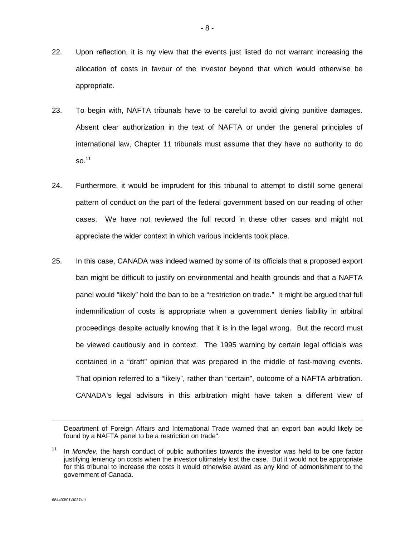- 22. Upon reflection, it is my view that the events just listed do not warrant increasing the allocation of costs in favour of the investor beyond that which would otherwise be appropriate.
- 23. To begin with, NAFTA tribunals have to be careful to avoid giving punitive damages. Absent clear authorization in the text of NAFTA or under the general principles of international law, Chapter 11 tribunals must assume that they have no authority to do so.<sup>11</sup>
- 24. Furthermore, it would be imprudent for this tribunal to attempt to distill some general pattern of conduct on the part of the federal government based on our reading of other cases. We have not reviewed the full record in these other cases and might not appreciate the wider context in which various incidents took place.
- 25. In this case, CANADA was indeed warned by some of its officials that a proposed export ban might be difficult to justify on environmental and health grounds and that a NAFTA panel would "likely" hold the ban to be a "restriction on trade." It might be argued that full indemnification of costs is appropriate when a government denies liability in arbitral proceedings despite actually knowing that it is in the legal wrong. But the record must be viewed cautiously and in context. The 1995 warning by certain legal officials was contained in a "draft" opinion that was prepared in the middle of fast-moving events. That opinion referred to a "likely", rather than "certain", outcome of a NAFTA arbitration. CANADA's legal advisors in this arbitration might have taken a different view of

Department of Foreign Affairs and International Trade warned that an export ban would likely be found by a NAFTA panel to be a restriction on trade".

<sup>11</sup> In *Mondev*, the harsh conduct of public authorities towards the investor was held to be one factor justifying leniency on costs when the investor ultimately lost the case. But it would not be appropriate for this tribunal to increase the costs it would otherwise award as any kind of admonishment to the government of Canada.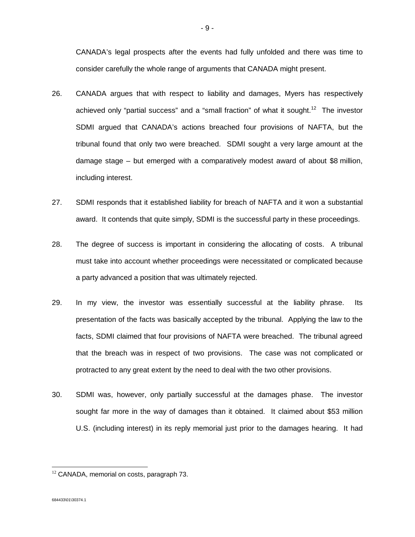CANADA's legal prospects after the events had fully unfolded and there was time to consider carefully the whole range of arguments that CANADA might present.

- 26. CANADA argues that with respect to liability and damages, Myers has respectively achieved only "partial success" and a "small fraction" of what it sought.<sup>12</sup> The investor SDMI argued that CANADA's actions breached four provisions of NAFTA, but the tribunal found that only two were breached. SDMI sought a very large amount at the damage stage – but emerged with a comparatively modest award of about \$8 million, including interest.
- 27. SDMI responds that it established liability for breach of NAFTA and it won a substantial award. It contends that quite simply, SDMI is the successful party in these proceedings.
- 28. The degree of success is important in considering the allocating of costs. A tribunal must take into account whether proceedings were necessitated or complicated because a party advanced a position that was ultimately rejected.
- 29. In my view, the investor was essentially successful at the liability phrase. Its presentation of the facts was basically accepted by the tribunal. Applying the law to the facts, SDMI claimed that four provisions of NAFTA were breached. The tribunal agreed that the breach was in respect of two provisions. The case was not complicated or protracted to any great extent by the need to deal with the two other provisions.
- 30. SDMI was, however, only partially successful at the damages phase. The investor sought far more in the way of damages than it obtained. It claimed about \$53 million U.S. (including interest) in its reply memorial just prior to the damages hearing. It had

 $12$  CANADA, memorial on costs, paragraph 73.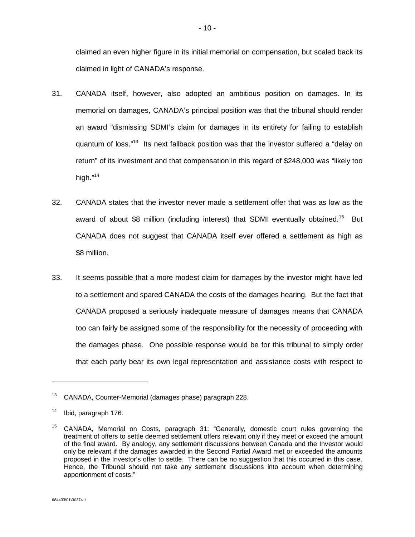claimed an even higher figure in its initial memorial on compensation, but scaled back its claimed in light of CANADA's response.

- 31. CANADA itself, however, also adopted an ambitious position on damages. In its memorial on damages, CANADA's principal position was that the tribunal should render an award "dismissing SDMI's claim for damages in its entirety for failing to establish quantum of loss."<sup>13</sup> Its next fallback position was that the investor suffered a "delay on return" of its investment and that compensation in this regard of \$248,000 was "likely too high."<sup>14</sup>
- 32. CANADA states that the investor never made a settlement offer that was as low as the award of about \$8 million (including interest) that SDMI eventually obtained.<sup>15</sup> But CANADA does not suggest that CANADA itself ever offered a settlement as high as \$8 million.
- 33. It seems possible that a more modest claim for damages by the investor might have led to a settlement and spared CANADA the costs of the damages hearing. But the fact that CANADA proposed a seriously inadequate measure of damages means that CANADA too can fairly be assigned some of the responsibility for the necessity of proceeding with the damages phase. One possible response would be for this tribunal to simply order that each party bear its own legal representation and assistance costs with respect to

<sup>13</sup> CANADA, Counter-Memorial (damages phase) paragraph 228.

<sup>14</sup> Ibid, paragraph 176.

<sup>&</sup>lt;sup>15</sup> CANADA, Memorial on Costs, paragraph 31: "Generally, domestic court rules governing the treatment of offers to settle deemed settlement offers relevant only if they meet or exceed the amount of the final award. By analogy, any settlement discussions between Canada and the Investor would only be relevant if the damages awarded in the Second Partial Award met or exceeded the amounts proposed in the Investor's offer to settle. There can be no suggestion that this occurred in this case. Hence, the Tribunal should not take any settlement discussions into account when determining apportionment of costs."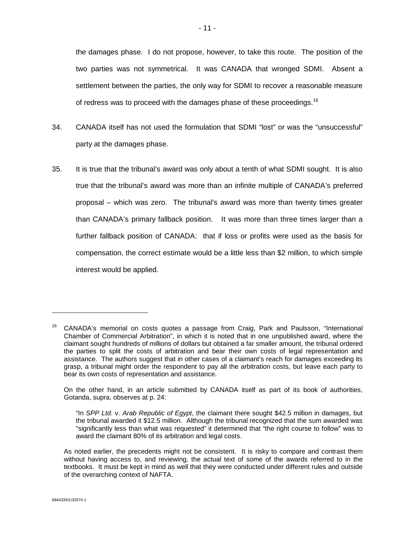the damages phase. I do not propose, however, to take this route. The position of the two parties was not symmetrical. It was CANADA that wronged SDMI. Absent a settlement between the parties, the only way for SDMI to recover a reasonable measure of redress was to proceed with the damages phase of these proceedings.<sup>16</sup>

- 34. CANADA itself has not used the formulation that SDMI "lost" or was the "unsuccessful" party at the damages phase.
- 35. It is true that the tribunal's award was only about a tenth of what SDMI sought. It is also true that the tribunal's award was more than an infinite multiple of CANADA's preferred proposal – which was zero. The tribunal's award was more than twenty times greater than CANADA's primary fallback position. It was more than three times larger than a further fallback position of CANADA: that if loss or profits were used as the basis for compensation, the correct estimate would be a little less than \$2 million, to which simple interest would be applied.

On the other hand, in an article submitted by CANADA itself as part of its book of authorities, Gotanda, supra, observes at p. 24:

 $16$  CANADA's memorial on costs quotes a passage from Craig, Park and Paulsson, "International Chamber of Commercial Arbitration", in which it is noted that in one unpublished award, where the claimant sought hundreds of millions of dollars but obtained a far smaller amount, the tribunal ordered the parties to split the costs of arbitration and bear their own costs of legal representation and assistance. The authors suggest that in other cases of a claimant's reach for damages exceeding its grasp, a tribunal might order the respondent to pay all the arbitration costs, but leave each party to bear its own costs of representation and assistance.

<sup>&</sup>quot;In *SPP Ltd*. v. *Arab Republic of Egypt*, the claimant there sought \$42.5 million in damages, but the tribunal awarded it \$12.5 million. Although the tribunal recognized that the sum awarded was "significantly less than what was requested" it determined that "the right course to follow" was to award the claimant 80% of its arbitration and legal costs.

As noted earlier, the precedents might not be consistent. It is risky to compare and contrast them without having access to, and reviewing, the actual text of some of the awards referred to in the textbooks. It must be kept in mind as well that they were conducted under different rules and outside of the overarching context of NAFTA.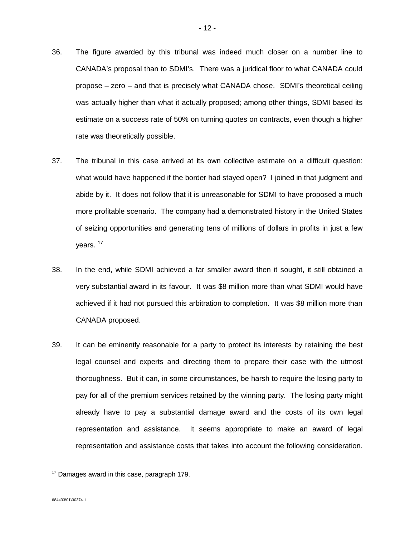- 36. The figure awarded by this tribunal was indeed much closer on a number line to CANADA's proposal than to SDMI's. There was a juridical floor to what CANADA could propose – zero – and that is precisely what CANADA chose. SDMI's theoretical ceiling was actually higher than what it actually proposed; among other things, SDMI based its estimate on a success rate of 50% on turning quotes on contracts, even though a higher rate was theoretically possible.
- 37. The tribunal in this case arrived at its own collective estimate on a difficult question: what would have happened if the border had stayed open? I joined in that judgment and abide by it. It does not follow that it is unreasonable for SDMI to have proposed a much more profitable scenario. The company had a demonstrated history in the United States of seizing opportunities and generating tens of millions of dollars in profits in just a few years.<sup>17</sup>
- 38. In the end, while SDMI achieved a far smaller award then it sought, it still obtained a very substantial award in its favour. It was \$8 million more than what SDMI would have achieved if it had not pursued this arbitration to completion. It was \$8 million more than CANADA proposed.
- 39. It can be eminently reasonable for a party to protect its interests by retaining the best legal counsel and experts and directing them to prepare their case with the utmost thoroughness. But it can, in some circumstances, be harsh to require the losing party to pay for all of the premium services retained by the winning party. The losing party might already have to pay a substantial damage award and the costs of its own legal representation and assistance. It seems appropriate to make an award of legal representation and assistance costs that takes into account the following consideration.

 $17$  Damages award in this case, paragraph 179.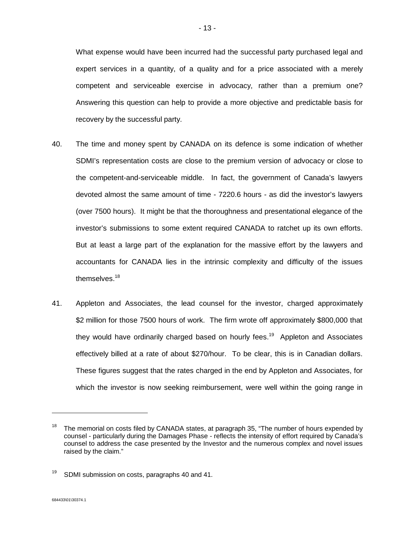What expense would have been incurred had the successful party purchased legal and expert services in a quantity, of a quality and for a price associated with a merely competent and serviceable exercise in advocacy, rather than a premium one? Answering this question can help to provide a more objective and predictable basis for recovery by the successful party.

- 40. The time and money spent by CANADA on its defence is some indication of whether SDMI's representation costs are close to the premium version of advocacy or close to the competent-and-serviceable middle. In fact, the government of Canada's lawyers devoted almost the same amount of time - 7220.6 hours - as did the investor's lawyers (over 7500 hours). It might be that the thoroughness and presentational elegance of the investor's submissions to some extent required CANADA to ratchet up its own efforts. But at least a large part of the explanation for the massive effort by the lawyers and accountants for CANADA lies in the intrinsic complexity and difficulty of the issues themselves.<sup>18</sup>
- 41. Appleton and Associates, the lead counsel for the investor, charged approximately \$2 million for those 7500 hours of work. The firm wrote off approximately \$800,000 that they would have ordinarily charged based on hourly fees.<sup>19</sup> Appleton and Associates effectively billed at a rate of about \$270/hour. To be clear, this is in Canadian dollars. These figures suggest that the rates charged in the end by Appleton and Associates, for which the investor is now seeking reimbursement, were well within the going range in

l

The memorial on costs filed by CANADA states, at paragraph 35, "The number of hours expended by counsel - particularly during the Damages Phase - reflects the intensity of effort required by Canada's counsel to address the case presented by the Investor and the numerous complex and novel issues raised by the claim."

 $19$  SDMI submission on costs, paragraphs 40 and 41.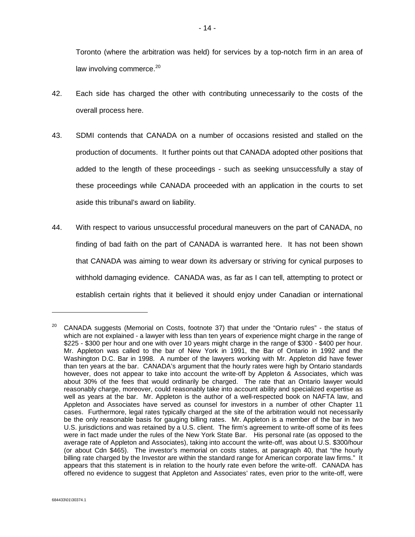Toronto (where the arbitration was held) for services by a top-notch firm in an area of law involving commerce. $20$ 

- 42. Each side has charged the other with contributing unnecessarily to the costs of the overall process here.
- 43. SDMI contends that CANADA on a number of occasions resisted and stalled on the production of documents. It further points out that CANADA adopted other positions that added to the length of these proceedings - such as seeking unsuccessfully a stay of these proceedings while CANADA proceeded with an application in the courts to set aside this tribunal's award on liability.
- 44. With respect to various unsuccessful procedural maneuvers on the part of CANADA, no finding of bad faith on the part of CANADA is warranted here. It has not been shown that CANADA was aiming to wear down its adversary or striving for cynical purposes to withhold damaging evidence. CANADA was, as far as I can tell, attempting to protect or establish certain rights that it believed it should enjoy under Canadian or international

l

<sup>&</sup>lt;sup>20</sup> CANADA suggests (Memorial on Costs, footnote 37) that under the "Ontario rules" - the status of which are not explained - a lawyer with less than ten years of experience might charge in the range of \$225 - \$300 per hour and one with over 10 years might charge in the range of \$300 - \$400 per hour. Mr. Appleton was called to the bar of New York in 1991, the Bar of Ontario in 1992 and the Washington D.C. Bar in 1998. A number of the lawyers working with Mr. Appleton did have fewer than ten years at the bar. CANADA's argument that the hourly rates were high by Ontario standards however, does not appear to take into account the write-off by Appleton & Associates, which was about 30% of the fees that would ordinarily be charged. The rate that an Ontario lawyer would reasonably charge, moreover, could reasonably take into account ability and specialized expertise as well as years at the bar. Mr. Appleton is the author of a well-respected book on NAFTA law, and Appleton and Associates have served as counsel for investors in a number of other Chapter 11 cases. Furthermore, legal rates typically charged at the site of the arbitration would not necessarily be the only reasonable basis for gauging billing rates. Mr. Appleton is a member of the bar in two U.S. jurisdictions and was retained by a U.S. client. The firm's agreement to write-off some of its fees were in fact made under the rules of the New York State Bar. His personal rate (as opposed to the average rate of Appleton and Associates), taking into account the write-off, was about U.S. \$300/hour (or about Cdn \$465). The investor's memorial on costs states, at paragraph 40, that "the hourly billing rate charged by the Investor are within the standard range for American corporate law firms." It appears that this statement is in relation to the hourly rate even before the write-off. CANADA has offered no evidence to suggest that Appleton and Associates' rates, even prior to the write-off, were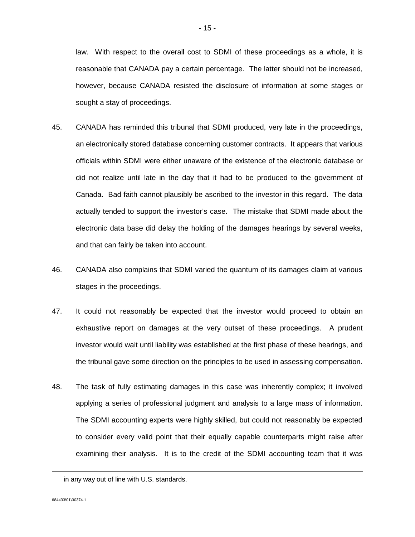law. With respect to the overall cost to SDMI of these proceedings as a whole, it is reasonable that CANADA pay a certain percentage. The latter should not be increased, however, because CANADA resisted the disclosure of information at some stages or sought a stay of proceedings.

- 45. CANADA has reminded this tribunal that SDMI produced, very late in the proceedings, an electronically stored database concerning customer contracts. It appears that various officials within SDMI were either unaware of the existence of the electronic database or did not realize until late in the day that it had to be produced to the government of Canada. Bad faith cannot plausibly be ascribed to the investor in this regard. The data actually tended to support the investor's case. The mistake that SDMI made about the electronic data base did delay the holding of the damages hearings by several weeks, and that can fairly be taken into account.
- 46. CANADA also complains that SDMI varied the quantum of its damages claim at various stages in the proceedings.
- 47. It could not reasonably be expected that the investor would proceed to obtain an exhaustive report on damages at the very outset of these proceedings. A prudent investor would wait until liability was established at the first phase of these hearings, and the tribunal gave some direction on the principles to be used in assessing compensation.
- 48. The task of fully estimating damages in this case was inherently complex; it involved applying a series of professional judgment and analysis to a large mass of information. The SDMI accounting experts were highly skilled, but could not reasonably be expected to consider every valid point that their equally capable counterparts might raise after examining their analysis. It is to the credit of the SDMI accounting team that it was

in any way out of line with U.S. standards.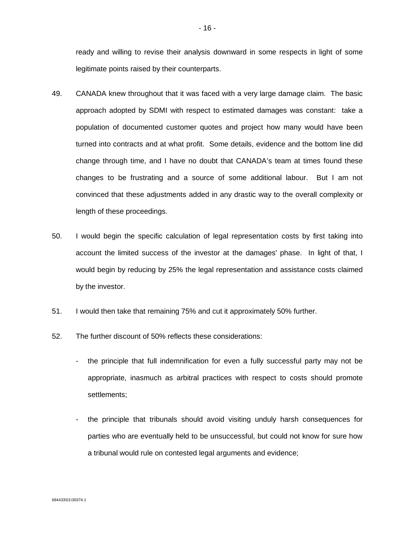ready and willing to revise their analysis downward in some respects in light of some legitimate points raised by their counterparts.

- 49. CANADA knew throughout that it was faced with a very large damage claim. The basic approach adopted by SDMI with respect to estimated damages was constant: take a population of documented customer quotes and project how many would have been turned into contracts and at what profit. Some details, evidence and the bottom line did change through time, and I have no doubt that CANADA's team at times found these changes to be frustrating and a source of some additional labour. But I am not convinced that these adjustments added in any drastic way to the overall complexity or length of these proceedings.
- 50. I would begin the specific calculation of legal representation costs by first taking into account the limited success of the investor at the damages' phase. In light of that, I would begin by reducing by 25% the legal representation and assistance costs claimed by the investor.
- 51. I would then take that remaining 75% and cut it approximately 50% further.
- 52. The further discount of 50% reflects these considerations:
	- the principle that full indemnification for even a fully successful party may not be appropriate, inasmuch as arbitral practices with respect to costs should promote settlements;
	- the principle that tribunals should avoid visiting unduly harsh consequences for parties who are eventually held to be unsuccessful, but could not know for sure how a tribunal would rule on contested legal arguments and evidence;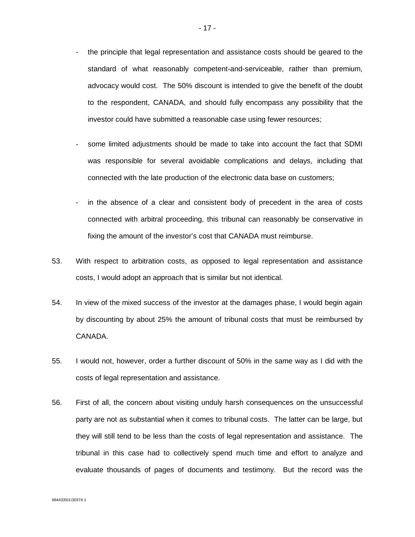- the principle that legal representation and assistance costs should be geared to the standard of what reasonably competent-and-serviceable, rather than premium, advocacy would cost. The 50% discount is intended to give the benefit of the doubt to the respondent, CANADA, and should fully encompass any possibility that the investor could have submitted a reasonable case using fewer resources;
- some limited adjustments should be made to take into account the fact that SDMI was responsible for several avoidable complications and delays, including that connected with the late production of the electronic data base on customers;
- in the absence of a clear and consistent body of precedent in the area of costs connected with arbitral proceeding, this tribunal can reasonably be conservative in fixing the amount of the investor's cost that CANADA must reimburse.
- 53. With respect to arbitration costs, as opposed to legal representation and assistance costs, I would adopt an approach that is similar but not identical.
- 54. In view of the mixed success of the investor at the damages phase, I would begin again by discounting by about 25% the amount of tribunal costs that must be reimbursed by CANADA.
- 55. I would not, however, order a further discount of 50% in the same way as I did with the costs of legal representation and assistance.
- 56. First of all, the concern about visiting unduly harsh consequences on the unsuccessful party are not as substantial when it comes to tribunal costs. The latter can be large, but they will still tend to be less than the costs of legal representation and assistance. The tribunal in this case had to collectively spend much time and effort to analyze and evaluate thousands of pages of documents and testimony. But the record was the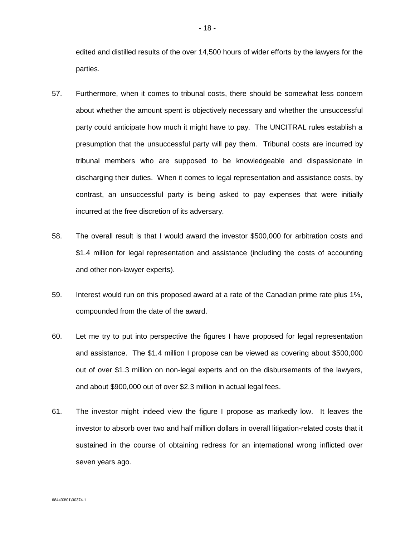edited and distilled results of the over 14,500 hours of wider efforts by the lawyers for the parties.

- 57. Furthermore, when it comes to tribunal costs, there should be somewhat less concern about whether the amount spent is objectively necessary and whether the unsuccessful party could anticipate how much it might have to pay. The UNCITRAL rules establish a presumption that the unsuccessful party will pay them. Tribunal costs are incurred by tribunal members who are supposed to be knowledgeable and dispassionate in discharging their duties. When it comes to legal representation and assistance costs, by contrast, an unsuccessful party is being asked to pay expenses that were initially incurred at the free discretion of its adversary.
- 58. The overall result is that I would award the investor \$500,000 for arbitration costs and \$1.4 million for legal representation and assistance (including the costs of accounting and other non-lawyer experts).
- 59. Interest would run on this proposed award at a rate of the Canadian prime rate plus 1%, compounded from the date of the award.
- 60. Let me try to put into perspective the figures I have proposed for legal representation and assistance. The \$1.4 million I propose can be viewed as covering about \$500,000 out of over \$1.3 million on non-legal experts and on the disbursements of the lawyers, and about \$900,000 out of over \$2.3 million in actual legal fees.
- 61. The investor might indeed view the figure I propose as markedly low. It leaves the investor to absorb over two and half million dollars in overall litigation-related costs that it sustained in the course of obtaining redress for an international wrong inflicted over seven years ago.